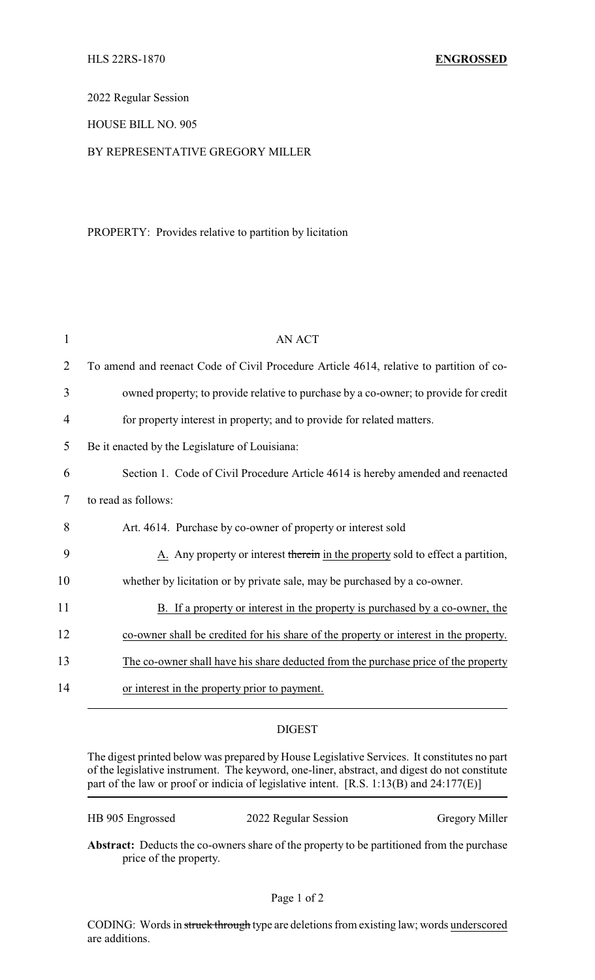2022 Regular Session

## HOUSE BILL NO. 905

## BY REPRESENTATIVE GREGORY MILLER

## PROPERTY: Provides relative to partition by licitation

| 1              | <b>AN ACT</b>                                                                           |
|----------------|-----------------------------------------------------------------------------------------|
| $\overline{2}$ | To amend and reenact Code of Civil Procedure Article 4614, relative to partition of co- |
| 3              | owned property; to provide relative to purchase by a co-owner; to provide for credit    |
| 4              | for property interest in property; and to provide for related matters.                  |
| 5              | Be it enacted by the Legislature of Louisiana:                                          |
| 6              | Section 1. Code of Civil Procedure Article 4614 is hereby amended and reenacted         |
| 7              | to read as follows:                                                                     |
| 8              | Art. 4614. Purchase by co-owner of property or interest sold                            |
| 9              | A. Any property or interest therein in the property sold to effect a partition,         |
| 10             | whether by licitation or by private sale, may be purchased by a co-owner.               |
| 11             | B. If a property or interest in the property is purchased by a co-owner, the            |
| 12             | co-owner shall be credited for his share of the property or interest in the property.   |
| 13             | The co-owner shall have his share deducted from the purchase price of the property      |
| 14             | or interest in the property prior to payment.                                           |

## DIGEST

The digest printed below was prepared by House Legislative Services. It constitutes no part of the legislative instrument. The keyword, one-liner, abstract, and digest do not constitute part of the law or proof or indicia of legislative intent. [R.S. 1:13(B) and 24:177(E)]

HB 905 Engrossed 2022 Regular Session Gregory Miller

**Abstract:** Deducts the co-owners share of the property to be partitioned from the purchase price of the property.